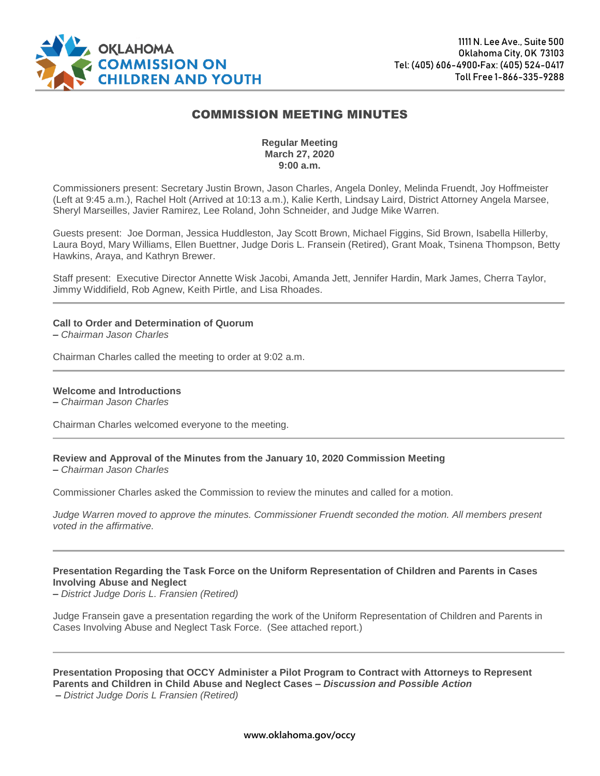

# COMMISSION MEETING MINUTES

### **Regular Meeting March 27, 2020 9:00 a.m.**

Commissioners present: Secretary Justin Brown, Jason Charles, Angela Donley, Melinda Fruendt, Joy Hoffmeister (Left at 9:45 a.m.), Rachel Holt (Arrived at 10:13 a.m.), Kalie Kerth, Lindsay Laird, District Attorney Angela Marsee, Sheryl Marseilles, Javier Ramirez, Lee Roland, John Schneider, and Judge Mike Warren.

Guests present: Joe Dorman, Jessica Huddleston, Jay Scott Brown, Michael Figgins, Sid Brown, Isabella Hillerby, Laura Boyd, Mary Williams, Ellen Buettner, Judge Doris L. Fransein (Retired), Grant Moak, Tsinena Thompson, Betty Hawkins, Araya, and Kathryn Brewer.

Staff present: Executive Director Annette Wisk Jacobi, Amanda Jett, Jennifer Hardin, Mark James, Cherra Taylor, Jimmy Widdifield, Rob Agnew, Keith Pirtle, and Lisa Rhoades.

#### **Call to Order and Determination of Quorum**

**–** *Chairman Jason Charles*

Chairman Charles called the meeting to order at 9:02 a.m.

#### **Welcome and Introductions**

**–** *Chairman Jason Charles*

Chairman Charles welcomed everyone to the meeting.

#### **Review and Approval of the Minutes from the January 10, 2020 Commission Meeting**

**–** *Chairman Jason Charles*

Commissioner Charles asked the Commission to review the minutes and called for a motion.

*Judge Warren moved to approve the minutes. Commissioner Fruendt seconded the motion. All members present voted in the affirmative.*

#### **Presentation Regarding the Task Force on the Uniform Representation of Children and Parents in Cases Involving Abuse and Neglect**

**–** *District Judge Doris L. Fransien (Retired)*

Judge Fransein gave a presentation regarding the work of the Uniform Representation of Children and Parents in Cases Involving Abuse and Neglect Task Force. (See attached report.)

## **Presentation Proposing that OCCY Administer a Pilot Program to Contract with Attorneys to Represent Parents and Children in Child Abuse and Neglect Cases –** *Discussion and Possible Action*

**–** *District Judge Doris L Fransien (Retired)*